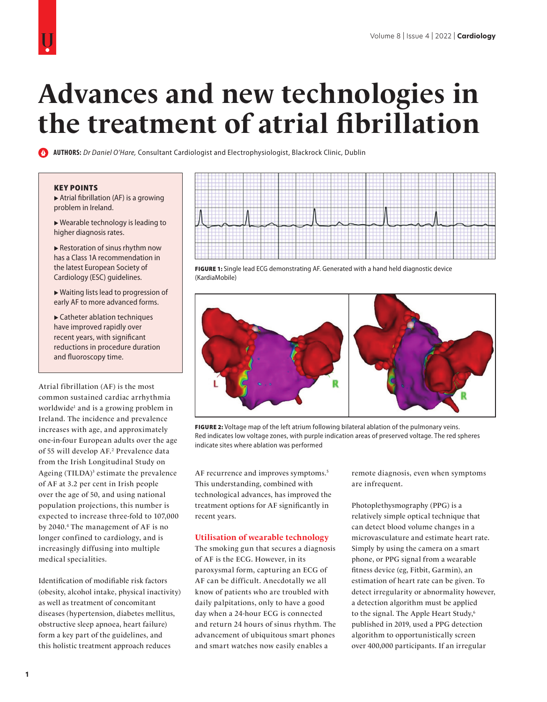# **Advances and new technologies in the treatment of atrial fibrillation**

**AUTHORS:** *Dr Daniel O'Hare,* Consultant Cardiologist and Electrophysiologist, Blackrock Clinic, Dublin

#### KEY POINTS

 Atrial fibrillation (AF) is a growing problem in Ireland.

 Wearable technology is leading to higher diagnosis rates.

 Restoration of sinus rhythm now has a Class 1A recommendation in the latest European Society of Cardiology (ESC) guidelines.

 Waiting lists lead to progression of early AF to more advanced forms.

 Catheter ablation techniques have improved rapidly over recent years, with significant reductions in procedure duration and fluoroscopy time.

Atrial fibrillation (AF) is the most common sustained cardiac arrhythmia worldwide1 and is a growing problem in Ireland. The incidence and prevalence increases with age, and approximately one-in-four European adults over the age of 55 will develop AF.2 Prevalence data from the Irish Longitudinal Study on Ageing (TILDA)<sup>3</sup> estimate the prevalence of AF at 3.2 per cent in Irish people over the age of 50, and using national population projections, this number is expected to increase three-fold to 107,000 by 2040.4 The management of AF is no longer confined to cardiology, and is increasingly diffusing into multiple medical specialities.

Identification of modifiable risk factors (obesity, alcohol intake, physical inactivity) as well as treatment of concomitant diseases (hypertension, diabetes mellitus, obstructive sleep apnoea, heart failure) form a key part of the guidelines, and this holistic treatment approach reduces



FIGURE 1: Single lead ECG demonstrating AF. Generated with a hand held diagnostic device (KardiaMobile)



FIGURE 2: Voltage map of the left atrium following bilateral ablation of the pulmonary veins. Red indicates low voltage zones, with purple indication areas of preserved voltage. The red spheres indicate sites where ablation was performed

AF recurrence and improves symptoms.<sup>5</sup> This understanding, combined with technological advances, has improved the treatment options for AF significantly in recent years.

#### **Utilisation of wearable technology**

The smoking gun that secures a diagnosis of AF is the ECG. However, in its paroxysmal form, capturing an ECG of AF can be difficult. Anecdotally we all know of patients who are troubled with daily palpitations, only to have a good day when a 24-hour ECG is connected and return 24 hours of sinus rhythm. The advancement of ubiquitous smart phones and smart watches now easily enables a

remote diagnosis, even when symptoms are infrequent.

Photoplethysmography (PPG) is a relatively simple optical technique that can detect blood volume changes in a microvasculature and estimate heart rate. Simply by using the camera on a smart phone, or PPG signal from a wearable fitness device (eg, Fitbit, Garmin), an estimation of heart rate can be given. To detect irregularity or abnormality however, a detection algorithm must be applied to the signal. The Apple Heart Study,<sup>6</sup> published in 2019, used a PPG detection algorithm to opportunistically screen over 400,000 participants. If an irregular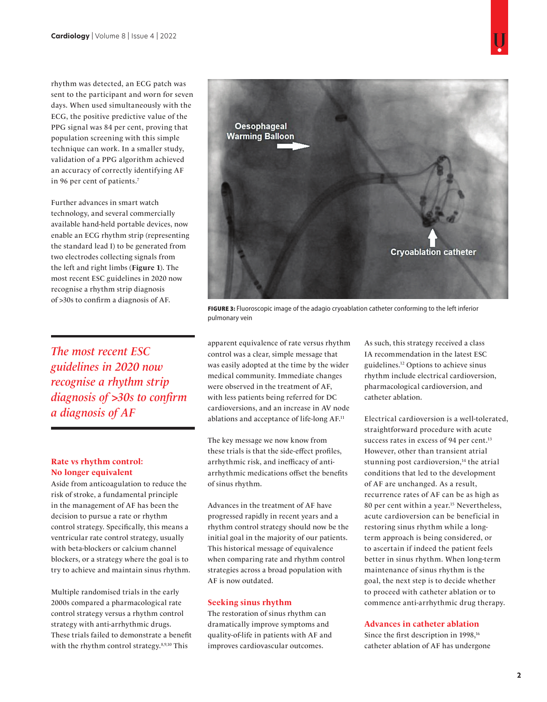rhythm was detected, an ECG patch was sent to the participant and worn for seven days. When used simultaneously with the ECG, the positive predictive value of the PPG signal was 84 per cent, proving that population screening with this simple technique can work. In a smaller study, validation of a PPG algorithm achieved an accuracy of correctly identifying AF in 96 per cent of patients.7

Further advances in smart watch technology, and several commercially available hand-held portable devices, now enable an ECG rhythm strip (representing the standard lead I) to be generated from two electrodes collecting signals from the left and right limbs (**Figure 1**). The most recent ESC guidelines in 2020 now recognise a rhythm strip diagnosis of >30s to confirm a diagnosis of AF.

The most recent ESC guidelines in 2020 now recognise a rhythm strip diagnosis of >30s to confirm a diagnosis of AF

# **Rate vs rhythm control: No longer equivalent**

Aside from anticoagulation to reduce the risk of stroke, a fundamental principle in the management of AF has been the decision to pursue a rate or rhythm control strategy. Specifically, this means a ventricular rate control strategy, usually with beta-blockers or calcium channel blockers, or a strategy where the goal is to try to achieve and maintain sinus rhythm.

Multiple randomised trials in the early 2000s compared a pharmacological rate control strategy versus a rhythm control strategy with anti-arrhythmic drugs. These trials failed to demonstrate a benefit with the rhythm control strategy.<sup>8,9,10</sup> This



FIGURE 3: Fluoroscopic image of the adagio cryoablation catheter conforming to the left inferior pulmonary vein

apparent equivalence of rate versus rhythm control was a clear, simple message that was easily adopted at the time by the wider medical community. Immediate changes were observed in the treatment of AF, with less patients being referred for DC cardioversions, and an increase in AV node ablations and acceptance of life-long AF.11

The key message we now know from these trials is that the side-effect profiles, arrhythmic risk, and inefficacy of antiarrhythmic medications offset the benefits of sinus rhythm.

Advances in the treatment of AF have progressed rapidly in recent years and a rhythm control strategy should now be the initial goal in the majority of our patients. This historical message of equivalence when comparing rate and rhythm control strategies across a broad population with AF is now outdated.

## **Seeking sinus rhythm**

The restoration of sinus rhythm can dramatically improve symptoms and quality-of-life in patients with AF and improves cardiovascular outcomes.

As such, this strategy received a class IA recommendation in the latest ESC guidelines.12 Options to achieve sinus rhythm include electrical cardioversion, pharmacological cardioversion, and catheter ablation.

Electrical cardioversion is a well-tolerated, straightforward procedure with acute success rates in excess of 94 per cent.<sup>13</sup> However, other than transient atrial stunning post cardioversion,<sup>14</sup> the atrial conditions that led to the development of AF are unchanged. As a result, recurrence rates of AF can be as high as 80 per cent within a year.15 Nevertheless, acute cardioversion can be beneficial in restoring sinus rhythm while a longterm approach is being considered, or to ascertain if indeed the patient feels better in sinus rhythm. When long-term maintenance of sinus rhythm is the goal, the next step is to decide whether to proceed with catheter ablation or to commence anti-arrhythmic drug therapy.

## **Advances in catheter ablation**

Since the first description in 1998,<sup>16</sup> catheter ablation of AF has undergone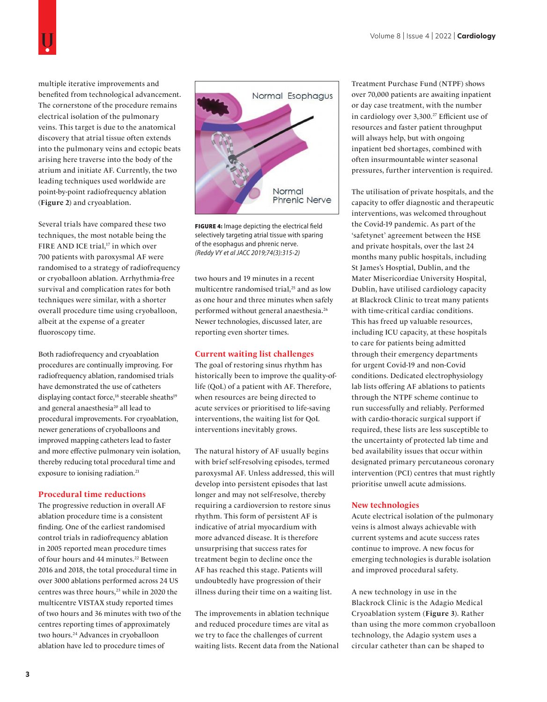multiple iterative improvements and benefited from technological advancement. The cornerstone of the procedure remains electrical isolation of the pulmonary veins. This target is due to the anatomical discovery that atrial tissue often extends into the pulmonary veins and ectopic beats arising here traverse into the body of the atrium and initiate AF. Currently, the two leading techniques used worldwide are point-by-point radiofrequency ablation (**Figure 2**) and cryoablation.

Several trials have compared these two techniques, the most notable being the FIRE AND ICE trial,<sup>17</sup> in which over 700 patients with paroxysmal AF were randomised to a strategy of radiofrequency or cryoballoon ablation. Arrhythmia-free survival and complication rates for both techniques were similar, with a shorter overall procedure time using cryoballoon, albeit at the expense of a greater fluoroscopy time.

Both radiofrequency and cryoablation procedures are continually improving. For radiofrequency ablation, randomised trials have demonstrated the use of catheters displaying contact force,<sup>18</sup> steerable sheaths<sup>19</sup> and general anaesthesia<sup>20</sup> all lead to procedural improvements. For cryoablation, newer generations of cryoballoons and improved mapping catheters lead to faster and more effective pulmonary vein isolation, thereby reducing total procedural time and exposure to ionising radiation.<sup>21</sup>

#### **Procedural time reductions**

The progressive reduction in overall AF ablation procedure time is a consistent finding. One of the earliest randomised control trials in radiofrequency ablation in 2005 reported mean procedure times of four hours and 44 minutes.<sup>22</sup> Between 2016 and 2018, the total procedural time in over 3000 ablations performed across 24 US centres was three hours,<sup>23</sup> while in 2020 the multicentre VISTAX study reported times of two hours and 36 minutes with two of the centres reporting times of approximately two hours.24 Advances in cryoballoon ablation have led to procedure times of



FIGURE 4: Image depicting the electrical field selectively targeting atrial tissue with sparing of the esophagus and phrenic nerve. *(Reddy VY et al JACC 2019;74(3):315-2)*

two hours and 19 minutes in a recent multicentre randomised trial,25 and as low as one hour and three minutes when safely performed without general anaesthesia.26 Newer technologies, discussed later, are reporting even shorter times.

#### **Current waiting list challenges**

The goal of restoring sinus rhythm has historically been to improve the quality-oflife (QoL) of a patient with AF. Therefore, when resources are being directed to acute services or prioritised to life-saving interventions, the waiting list for QoL interventions inevitably grows.

The natural history of AF usually begins with brief self-resolving episodes, termed paroxysmal AF. Unless addressed, this will develop into persistent episodes that last longer and may not self-resolve, thereby requiring a cardioversion to restore sinus rhythm. This form of persistent AF is indicative of atrial myocardium with more advanced disease. It is therefore unsurprising that success rates for treatment begin to decline once the AF has reached this stage. Patients will undoubtedly have progression of their illness during their time on a waiting list.

The improvements in ablation technique and reduced procedure times are vital as we try to face the challenges of current waiting lists. Recent data from the National Treatment Purchase Fund (NTPF) shows over 70,000 patients are awaiting inpatient or day case treatment, with the number in cardiology over 3,300.<sup>27</sup> Efficient use of resources and faster patient throughput will always help, but with ongoing inpatient bed shortages, combined with often insurmountable winter seasonal pressures, further intervention is required.

The utilisation of private hospitals, and the capacity to offer diagnostic and therapeutic interventions, was welcomed throughout the Covid-19 pandemic. As part of the 'safetynet' agreement between the HSE and private hospitals, over the last 24 months many public hospitals, including St James's Hosptial, Dublin, and the Mater Misericordiae University Hospital, Dublin, have utilised cardiology capacity at Blackrock Clinic to treat many patients with time-critical cardiac conditions. This has freed up valuable resources, including ICU capacity, at these hospitals to care for patients being admitted through their emergency departments for urgent Covid-19 and non-Covid conditions. Dedicated electrophysiology lab lists offering AF ablations to patients through the NTPF scheme continue to run successfully and reliably. Performed with cardio-thoracic surgical support if required, these lists are less susceptible to the uncertainty of protected lab time and bed availability issues that occur within designated primary percutaneous coronary intervention (PCI) centres that must rightly prioritise unwell acute admissions.

#### **New technologies**

Acute electrical isolation of the pulmonary veins is almost always achievable with current systems and acute success rates continue to improve. A new focus for emerging technologies is durable isolation and improved procedural safety.

A new technology in use in the Blackrock Clinic is the Adagio Medical Cryoablation system (**Figure 3**). Rather than using the more common cryoballoon technology, the Adagio system uses a circular catheter than can be shaped to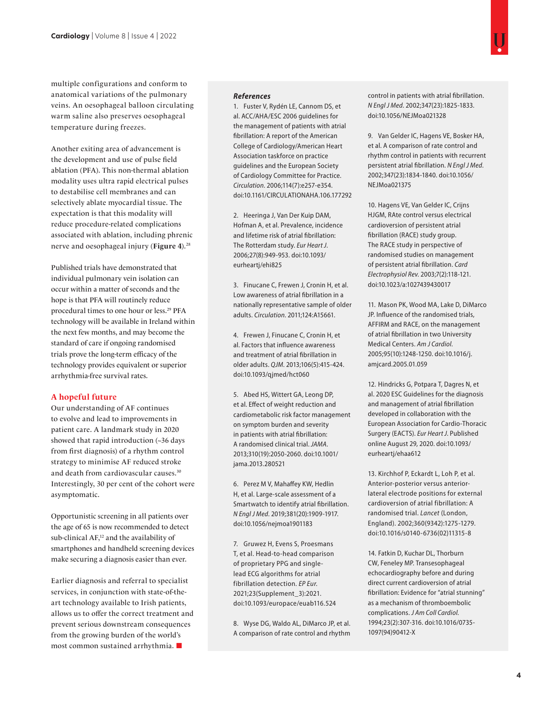multiple configurations and conform to anatomical variations of the pulmonary veins. An oesophageal balloon circulating warm saline also preserves oesophageal temperature during freezes.

Another exiting area of advancement is the development and use of pulse field ablation (PFA). This non-thermal ablation modality uses ultra rapid electrical pulses to destabilise cell membranes and can selectively ablate myocardial tissue. The expectation is that this modality will reduce procedure-related complications associated with ablation, including phrenic nerve and oesophageal injury (**Figure 4**).28

Published trials have demonstrated that individual pulmonary vein isolation can occur within a matter of seconds and the hope is that PFA will routinely reduce procedural times to one hour or less.29 PFA technology will be available in Ireland within the next few months, and may become the standard of care if ongoing randomised trials prove the long-term efficacy of the technology provides equivalent or superior arrhythmia-free survival rates.

## **A hopeful future**

Our understanding of AF continues to evolve and lead to improvements in patient care. A landmark study in 2020 showed that rapid introduction (~36 days from first diagnosis) of a rhythm control strategy to minimise AF reduced stroke and death from cardiovascular causes.30 Interestingly, 30 per cent of the cohort were asymptomatic.

Opportunistic screening in all patients over the age of 65 is now recommended to detect sub-clinical AF,<sup>12</sup> and the availability of smartphones and handheld screening devices make securing a diagnosis easier than ever.

Earlier diagnosis and referral to specialist services, in conjunction with state-of-theart technology available to Irish patients, allows us to offer the correct treatment and prevent serious downstream consequences from the growing burden of the world's most common sustained arrhythmia.

#### *References*

1. Fuster V, Rydén LE, Cannom DS, et al. ACC/AHA/ESC 2006 guidelines for the management of patients with atrial fibrillation: A report of the American College of Cardiology/American Heart Association taskforce on practice guidelines and the European Society of Cardiology Committee for Practice. *Circulation*. 2006;114(7):e257-e354. doi:10.1161/CIRCULATIONAHA.106.177292

2. Heeringa J, Van Der Kuip DAM, Hofman A, et al. Prevalence, incidence and lifetime risk of atrial fibrillation: The Rotterdam study. *Eur Heart J*. 2006;27(8):949-953. doi:10.1093/ eurheartj/ehi825

3. Finucane C, Frewen J, Cronin H, et al. Low awareness of atrial fibrillation in a nationally representative sample of older adults. *Circulation*. 2011;124:A15661.

4. Frewen J, Finucane C, Cronin H, et al. Factors that influence awareness and treatment of atrial fibrillation in older adults. *QJM*. 2013;106(5):415-424. doi:10.1093/qjmed/hct060

5. Abed HS, Wittert GA, Leong DP, et al. Effect of weight reduction and cardiometabolic risk factor management on symptom burden and severity in patients with atrial fibrillation: A randomised clinical trial. *JAMA*. 2013;310(19):2050-2060. doi:10.1001/ jama.2013.280521

6. Perez M V, Mahaffey KW, Hedlin H, et al. Large-scale assessment of a Smartwatch to identify atrial fibrillation. *N Engl J Med*. 2019;381(20):1909-1917. doi:10.1056/nejmoa1901183

7. Gruwez H, Evens S, Proesmans T, et al. Head-to-head comparison of proprietary PPG and singlelead ECG algorithms for atrial fibrillation detection. *EP Eur*. 2021;23(Supplement\_3):2021. doi:10.1093/europace/euab116.524

8. Wyse DG, Waldo AL, DiMarco JP, et al. A comparison of rate control and rhythm control in patients with atrial fibrillation. *N Engl J Med*. 2002;347(23):1825-1833. doi:10.1056/NEJMoa021328

9. Van Gelder IC, Hagens VE, Bosker HA, et al. A comparison of rate control and rhythm control in patients with recurrent persistent atrial fibrillation. *N Engl J Med*. 2002;347(23):1834-1840. doi:10.1056/ NEJMoa021375

10. Hagens VE, Van Gelder IC, Crijns HJGM, RAte control versus electrical cardioversion of persistent atrial fibrillation (RACE) study group. The RACE study in perspective of randomised studies on management of persistent atrial fibrillation. *Card Electrophysiol Rev*. 2003;7(2):118-121. doi:10.1023/a:1027439430017

11. Mason PK, Wood MA, Lake D, DiMarco JP. Influence of the randomised trials, AFFIRM and RACE, on the management of atrial fibrillation in two University Medical Centers. *Am J Cardiol*. 2005;95(10):1248-1250. doi:10.1016/j. amjcard.2005.01.059

12. Hindricks G, Potpara T, Dagres N, et al. 2020 ESC Guidelines for the diagnosis and management of atrial fibrillation developed in collaboration with the European Association for Cardio-Thoracic Surgery (EACTS). *Eur Heart J*. Published online August 29, 2020. doi:10.1093/ eurheartj/ehaa612

13. Kirchhof P, Eckardt L, Loh P, et al. Anterior-posterior versus anteriorlateral electrode positions for external cardioversion of atrial fibrillation: A randomised trial. *Lancet* (London, England). 2002;360(9342):1275-1279. doi:10.1016/s0140-6736(02)11315-8

14. Fatkin D, Kuchar DL, Thorburn CW, Feneley MP. Transesophageal echocardiography before and during direct current cardioversion of atrial fibrillation: Evidence for "atrial stunning" as a mechanism of thromboembolic complications. *J Am Coll Cardiol*. 1994;23(2):307-316. doi:10.1016/0735- 1097(94)90412-X